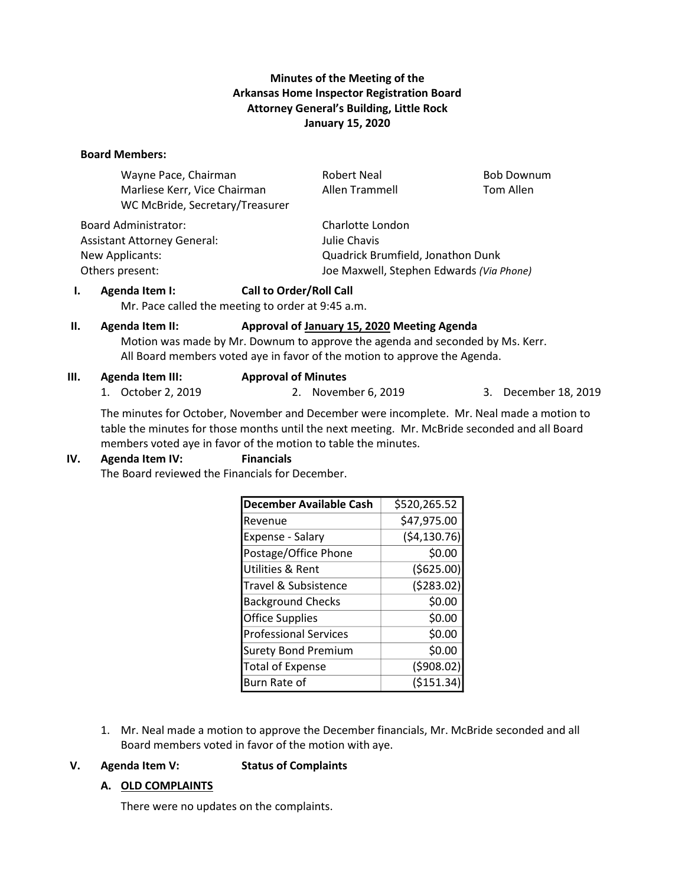## **Minutes of the Meeting of the Arkansas Home Inspector Registration Board Attorney General's Building, Little Rock January 15, 2020**

#### **Board Members:**

| <b>Robert Neal</b>                                          | <b>Bob Downum</b> |  |
|-------------------------------------------------------------|-------------------|--|
| Allen Trammell                                              | Tom Allen         |  |
|                                                             |                   |  |
| Charlotte London                                            |                   |  |
| Julie Chavis                                                |                   |  |
| Quadrick Brumfield, Jonathon Dunk                           |                   |  |
| Joe Maxwell, Stephen Edwards (Via Phone)<br>Others present: |                   |  |
|                                                             |                   |  |

### **I. Agenda Item I: Call to Order/Roll Call**

Mr. Pace called the meeting to order at 9:45 a.m.

# **II. Agenda Item II: Approval of January 15, 2020 Meeting Agenda**

Motion was made by Mr. Downum to approve the agenda and seconded by Ms. Kerr. All Board members voted aye in favor of the motion to approve the Agenda.

### **III. Agenda Item III: Approval of Minutes**

1. October 2, 2019 2. November 6, 2019 3. December 18, 2019

The minutes for October, November and December were incomplete. Mr. Neal made a motion to table the minutes for those months until the next meeting. Mr. McBride seconded and all Board members voted aye in favor of the motion to table the minutes.

### **IV. Agenda Item IV: Financials**

The Board reviewed the Financials for December.

| <b>December Available Cash</b> | \$520,265.52 |
|--------------------------------|--------------|
| Revenue                        | \$47,975.00  |
| Expense - Salary               | (54, 130.76) |
| Postage/Office Phone           | \$0.00       |
| Utilities & Rent               | ( \$625.00)  |
| Travel & Subsistence           | (5283.02)    |
| <b>Background Checks</b>       | \$0.00       |
| <b>Office Supplies</b>         | \$0.00       |
| <b>Professional Services</b>   | \$0.00       |
| <b>Surety Bond Premium</b>     | \$0.00       |
| <b>Total of Expense</b>        | (5908.02)    |
| Burn Rate of                   | (\$151.34    |

1. Mr. Neal made a motion to approve the December financials, Mr. McBride seconded and all Board members voted in favor of the motion with aye.

### **V. Agenda Item V: Status of Complaints**

### **A. OLD COMPLAINTS**

There were no updates on the complaints.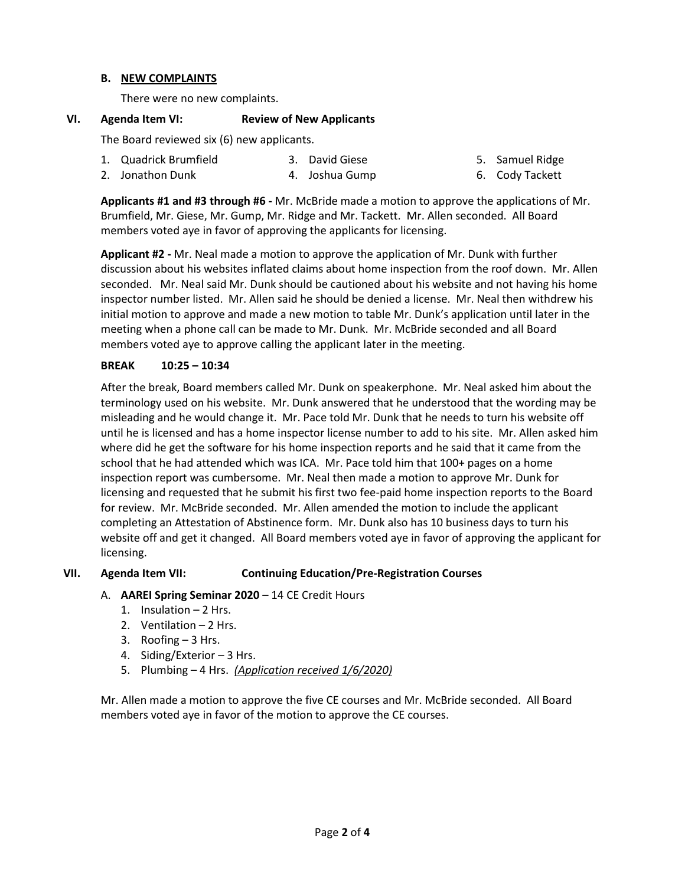### **B. NEW COMPLAINTS**

There were no new complaints.

### **VI. Agenda Item VI: Review of New Applicants**

The Board reviewed six (6) new applicants.

| 1. Quadrick Brumfield | 3. David Giese | 5. Samuel Ridge |
|-----------------------|----------------|-----------------|
| 2. Jonathon Dunk      | 4. Joshua Gump | 6. Cody Tackett |

**Applicants #1 and #3 through #6 -** Mr. McBride made a motion to approve the applications of Mr. Brumfield, Mr. Giese, Mr. Gump, Mr. Ridge and Mr. Tackett. Mr. Allen seconded. All Board members voted aye in favor of approving the applicants for licensing.

**Applicant #2 -** Mr. Neal made a motion to approve the application of Mr. Dunk with further discussion about his websites inflated claims about home inspection from the roof down. Mr. Allen seconded. Mr. Neal said Mr. Dunk should be cautioned about his website and not having his home inspector number listed. Mr. Allen said he should be denied a license. Mr. Neal then withdrew his initial motion to approve and made a new motion to table Mr. Dunk's application until later in the meeting when a phone call can be made to Mr. Dunk. Mr. McBride seconded and all Board members voted aye to approve calling the applicant later in the meeting.

### **BREAK 10:25 – 10:34**

After the break, Board members called Mr. Dunk on speakerphone. Mr. Neal asked him about the terminology used on his website. Mr. Dunk answered that he understood that the wording may be misleading and he would change it. Mr. Pace told Mr. Dunk that he needs to turn his website off until he is licensed and has a home inspector license number to add to his site. Mr. Allen asked him where did he get the software for his home inspection reports and he said that it came from the school that he had attended which was ICA. Mr. Pace told him that 100+ pages on a home inspection report was cumbersome. Mr. Neal then made a motion to approve Mr. Dunk for licensing and requested that he submit his first two fee-paid home inspection reports to the Board for review. Mr. McBride seconded. Mr. Allen amended the motion to include the applicant completing an Attestation of Abstinence form. Mr. Dunk also has 10 business days to turn his website off and get it changed. All Board members voted aye in favor of approving the applicant for licensing.

### **VII. Agenda Item VII: Continuing Education/Pre-Registration Courses**

- A. **AAREI Spring Seminar 2020** 14 CE Credit Hours
	- 1. Insulation 2 Hrs.
	- 2. Ventilation 2 Hrs.
	- 3. Roofing 3 Hrs.
	- 4. Siding/Exterior 3 Hrs.
	- 5. Plumbing 4 Hrs. *(Application received 1/6/2020)*

Mr. Allen made a motion to approve the five CE courses and Mr. McBride seconded. All Board members voted aye in favor of the motion to approve the CE courses.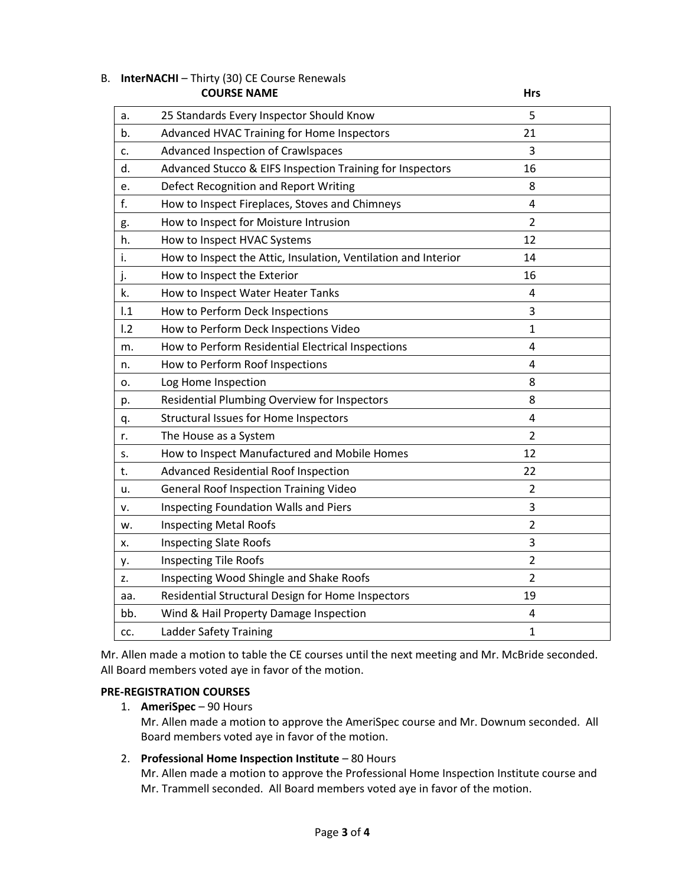|     | <b>COURSE NAME</b>                                             | Hrs            |  |
|-----|----------------------------------------------------------------|----------------|--|
| a.  | 25 Standards Every Inspector Should Know                       | 5              |  |
| b.  | Advanced HVAC Training for Home Inspectors                     | 21             |  |
| c.  | Advanced Inspection of Crawlspaces                             | 3              |  |
| d.  | Advanced Stucco & EIFS Inspection Training for Inspectors      | 16             |  |
| e.  | Defect Recognition and Report Writing                          | 8              |  |
| f.  | How to Inspect Fireplaces, Stoves and Chimneys                 | $\overline{4}$ |  |
| g.  | How to Inspect for Moisture Intrusion                          | $\overline{2}$ |  |
| h.  | How to Inspect HVAC Systems                                    | 12             |  |
| i.  | How to Inspect the Attic, Insulation, Ventilation and Interior | 14             |  |
| j.  | How to Inspect the Exterior                                    | 16             |  |
| k.  | How to Inspect Water Heater Tanks                              | 4              |  |
| 1.1 | How to Perform Deck Inspections                                | 3              |  |
| 1.2 | How to Perform Deck Inspections Video                          | 1              |  |
| m.  | How to Perform Residential Electrical Inspections              | 4              |  |
| n.  | How to Perform Roof Inspections                                | 4              |  |
| о.  | Log Home Inspection                                            | 8              |  |
| p.  | Residential Plumbing Overview for Inspectors                   | 8              |  |
| q.  | <b>Structural Issues for Home Inspectors</b>                   | $\overline{4}$ |  |
| r.  | The House as a System                                          | $\overline{2}$ |  |
| S.  | How to Inspect Manufactured and Mobile Homes                   | 12             |  |
| t.  | <b>Advanced Residential Roof Inspection</b>                    | 22             |  |
| u.  | <b>General Roof Inspection Training Video</b>                  | $\overline{2}$ |  |
| v.  | Inspecting Foundation Walls and Piers                          | 3              |  |
| w.  | <b>Inspecting Metal Roofs</b>                                  | $\overline{2}$ |  |
| х.  | <b>Inspecting Slate Roofs</b>                                  | 3              |  |
| у.  | <b>Inspecting Tile Roofs</b>                                   | $\overline{2}$ |  |
| z.  | Inspecting Wood Shingle and Shake Roofs                        | $\overline{2}$ |  |
| aa. | Residential Structural Design for Home Inspectors              | 19             |  |
| bb. | Wind & Hail Property Damage Inspection                         | 4              |  |
| CC. | <b>Ladder Safety Training</b>                                  | $\mathbf{1}$   |  |

# B. **InterNACHI** – Thirty (30) CE Course Renewals

Mr. Allen made a motion to table the CE courses until the next meeting and Mr. McBride seconded. All Board members voted aye in favor of the motion.

### **PRE-REGISTRATION COURSES**

1. **AmeriSpec** – 90 Hours

Mr. Allen made a motion to approve the AmeriSpec course and Mr. Downum seconded. All Board members voted aye in favor of the motion.

## 2. **Professional Home Inspection Institute** – 80 Hours

Mr. Allen made a motion to approve the Professional Home Inspection Institute course and Mr. Trammell seconded. All Board members voted aye in favor of the motion.